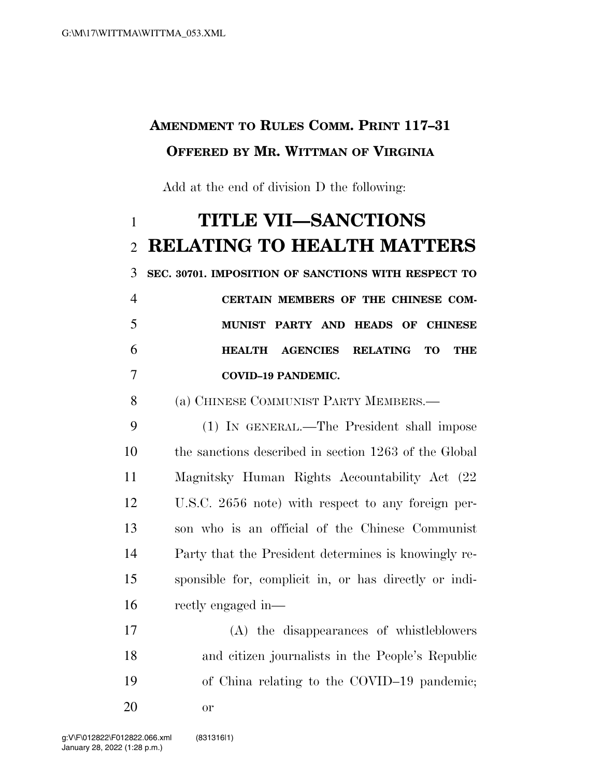## **AMENDMENT TO RULES COMM. PRINT 117–31 OFFERED BY MR. WITTMAN OF VIRGINIA**

Add at the end of division D the following:

## **TITLE VII—SANCTIONS RELATING TO HEALTH MATTERS**

**SEC. 30701. IMPOSITION OF SANCTIONS WITH RESPECT TO** 

|    | CERTAIN MEMBERS OF THE CHINESE COM- |  |  |  |
|----|-------------------------------------|--|--|--|
| -5 | MUNIST PARTY AND HEADS OF CHINESE   |  |  |  |
| -6 | HEALTH AGENCIES RELATING TO THE     |  |  |  |
|    | <b>COVID-19 PANDEMIC.</b>           |  |  |  |

(a) CHINESE COMMUNIST PARTY MEMBERS.—

 (1) IN GENERAL.—The President shall impose the sanctions described in section 1263 of the Global Magnitsky Human Rights Accountability Act (22 U.S.C. 2656 note) with respect to any foreign per- son who is an official of the Chinese Communist Party that the President determines is knowingly re- sponsible for, complicit in, or has directly or indi-rectly engaged in—

 (A) the disappearances of whistleblowers and citizen journalists in the People's Republic of China relating to the COVID–19 pandemic; or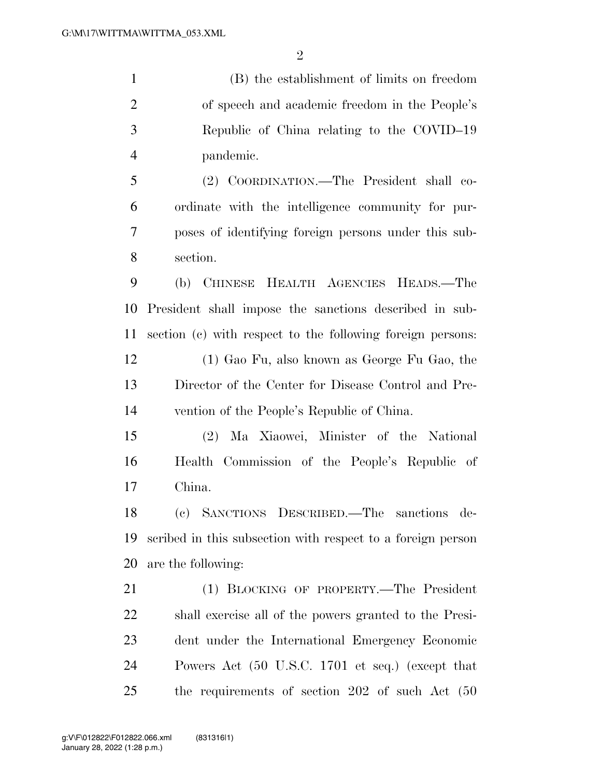(B) the establishment of limits on freedom of speech and academic freedom in the People's Republic of China relating to the COVID–19 pandemic. (2) COORDINATION.—The President shall co- ordinate with the intelligence community for pur- poses of identifying foreign persons under this sub- section. (b) CHINESE HEALTH AGENCIES HEADS.—The President shall impose the sanctions described in sub- section (c) with respect to the following foreign persons: (1) Gao Fu, also known as George Fu Gao, the Director of the Center for Disease Control and Pre-

vention of the People's Republic of China.

 (2) Ma Xiaowei, Minister of the National Health Commission of the People's Republic of China.

 (c) SANCTIONS DESCRIBED.—The sanctions de- scribed in this subsection with respect to a foreign person are the following:

 (1) BLOCKING OF PROPERTY.—The President shall exercise all of the powers granted to the Presi- dent under the International Emergency Economic Powers Act (50 U.S.C. 1701 et seq.) (except that the requirements of section 202 of such Act (50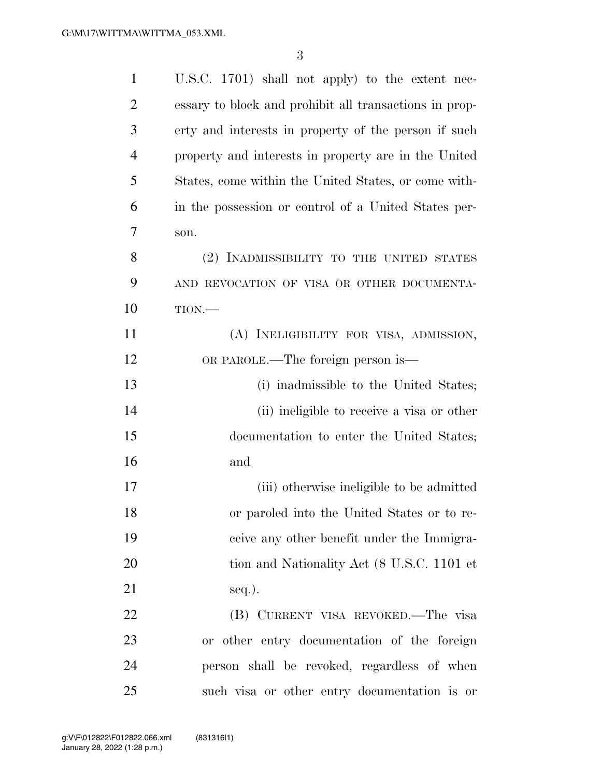| $\mathbf{1}$   | U.S.C. 1701) shall not apply) to the extent nec-       |
|----------------|--------------------------------------------------------|
| $\overline{2}$ | essary to block and prohibit all transactions in prop- |
| 3              | erty and interests in property of the person if such   |
| $\overline{4}$ | property and interests in property are in the United   |
| 5              | States, come within the United States, or come with-   |
| 6              | in the possession or control of a United States per-   |
| 7              | son.                                                   |
| 8              | (2) INADMISSIBILITY TO THE UNITED STATES               |
| 9              | AND REVOCATION OF VISA OR OTHER DOCUMENTA-             |
| 10             | TION.                                                  |
| 11             | (A) INELIGIBILITY FOR VISA, ADMISSION,                 |
| 12             | OR PAROLE.—The foreign person is—                      |
| 13             | (i) inadmissible to the United States;                 |
| 14             | (ii) ineligible to receive a visa or other             |
| 15             | documentation to enter the United States;              |
| 16             | and                                                    |
| 17             | (iii) otherwise ineligible to be admitted              |
| 18             | or paroled into the United States or to re-            |
| 19             | ceive any other benefit under the Immigra-             |
| 20             | tion and Nationality Act (8 U.S.C. 1101 et             |
| 21             | $seq.$ ).                                              |
| 22             | (B) CURRENT VISA REVOKED.—The visa                     |
| 23             | or other entry documentation of the foreign            |
| 24             | person shall be revoked, regardless of when            |
| 25             | such visa or other entry documentation is or           |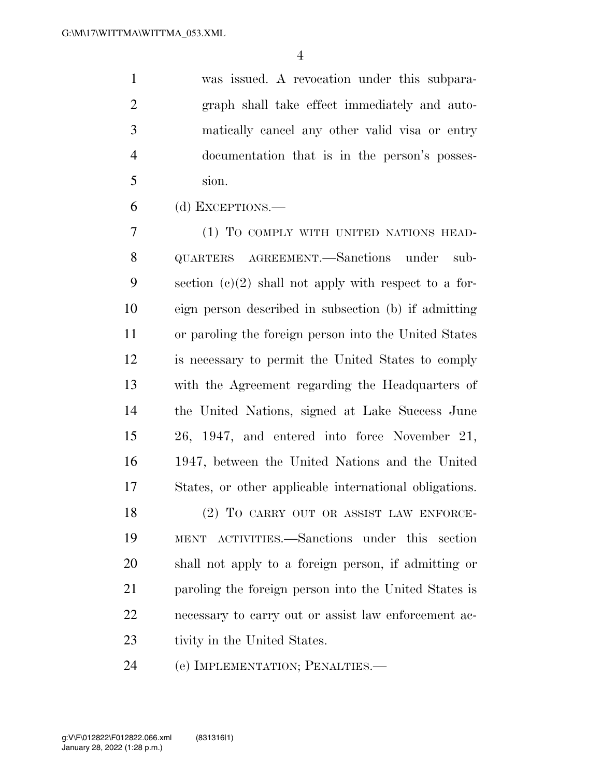was issued. A revocation under this subpara- graph shall take effect immediately and auto- matically cancel any other valid visa or entry documentation that is in the person's posses-sion.

(d) EXCEPTIONS.—

 (1) TO COMPLY WITH UNITED NATIONS HEAD- QUARTERS AGREEMENT.—Sanctions under sub-9 section  $(c)(2)$  shall not apply with respect to a for- eign person described in subsection (b) if admitting or paroling the foreign person into the United States is necessary to permit the United States to comply with the Agreement regarding the Headquarters of the United Nations, signed at Lake Success June 26, 1947, and entered into force November 21, 1947, between the United Nations and the United States, or other applicable international obligations.

18 (2) TO CARRY OUT OR ASSIST LAW ENFORCE- MENT ACTIVITIES.—Sanctions under this section shall not apply to a foreign person, if admitting or paroling the foreign person into the United States is necessary to carry out or assist law enforcement ac-23 tivity in the United States.

(e) IMPLEMENTATION; PENALTIES.—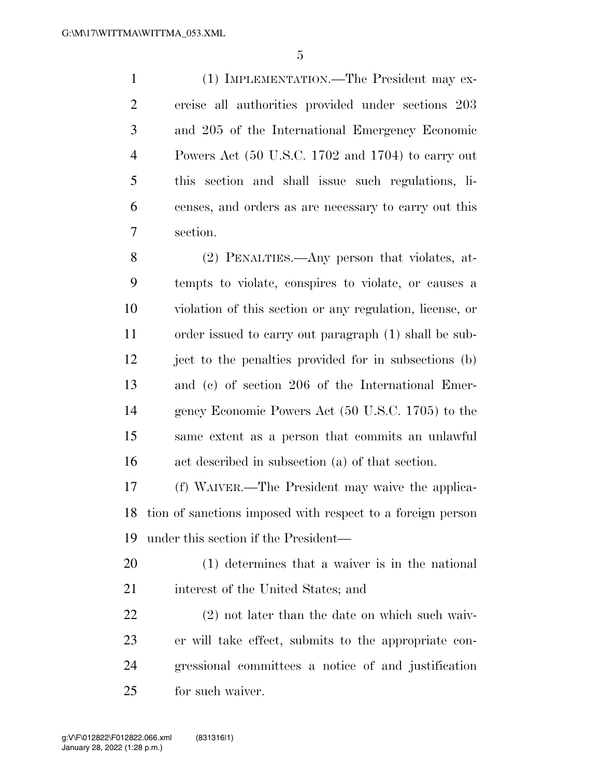(1) IMPLEMENTATION.—The President may ex- ercise all authorities provided under sections 203 and 205 of the International Emergency Economic Powers Act (50 U.S.C. 1702 and 1704) to carry out this section and shall issue such regulations, li- censes, and orders as are necessary to carry out this section.

 (2) PENALTIES.—Any person that violates, at- tempts to violate, conspires to violate, or causes a violation of this section or any regulation, license, or order issued to carry out paragraph (1) shall be sub- ject to the penalties provided for in subsections (b) and (c) of section 206 of the International Emer- gency Economic Powers Act (50 U.S.C. 1705) to the same extent as a person that commits an unlawful act described in subsection (a) of that section.

 (f) WAIVER.—The President may waive the applica- tion of sanctions imposed with respect to a foreign person under this section if the President—

 (1) determines that a waiver is in the national 21 interest of the United States; and

 (2) not later than the date on which such waiv- er will take effect, submits to the appropriate con- gressional committees a notice of and justification for such waiver.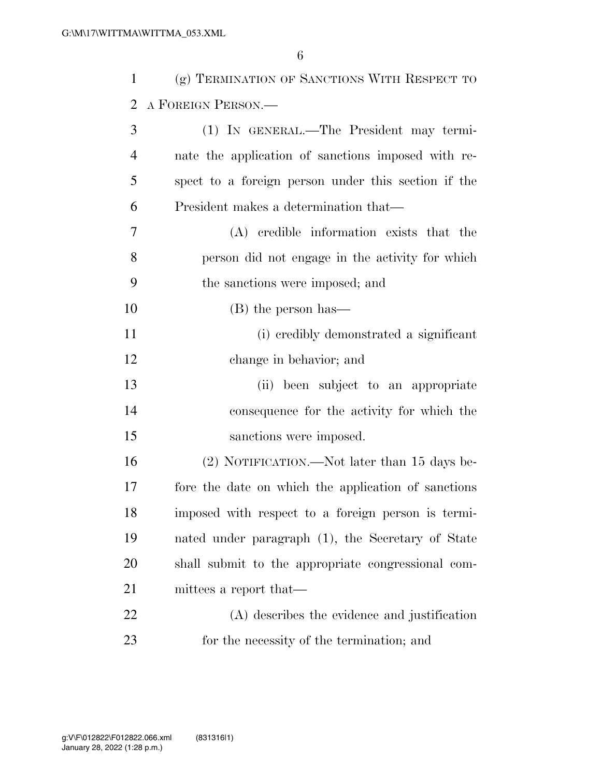| $\mathbf{1}$   | (g) TERMINATION OF SANCTIONS WITH RESPECT TO        |
|----------------|-----------------------------------------------------|
| $\overline{2}$ | A FOREIGN PERSON.                                   |
| 3              | (1) IN GENERAL.—The President may termi-            |
| $\overline{4}$ | nate the application of sanctions imposed with re-  |
| 5              | spect to a foreign person under this section if the |
| 6              | President makes a determination that—               |
| 7              | (A) credible information exists that the            |
| 8              | person did not engage in the activity for which     |
| 9              | the sanctions were imposed; and                     |
| 10             | (B) the person has—                                 |
| 11             | (i) credibly demonstrated a significant             |
| 12             | change in behavior; and                             |
| 13             | (ii) been subject to an appropriate                 |
| 14             | consequence for the activity for which the          |
| 15             | sanctions were imposed.                             |
| 16             | (2) NOTIFICATION.—Not later than 15 days be-        |
| 17             | fore the date on which the application of sanctions |
| 18             | imposed with respect to a foreign person is termi-  |
| 19             | nated under paragraph (1), the Secretary of State   |
| 20             | shall submit to the appropriate congressional com-  |
| 21             | mittees a report that—                              |
| 22             | (A) describes the evidence and justification        |
| 23             | for the necessity of the termination; and           |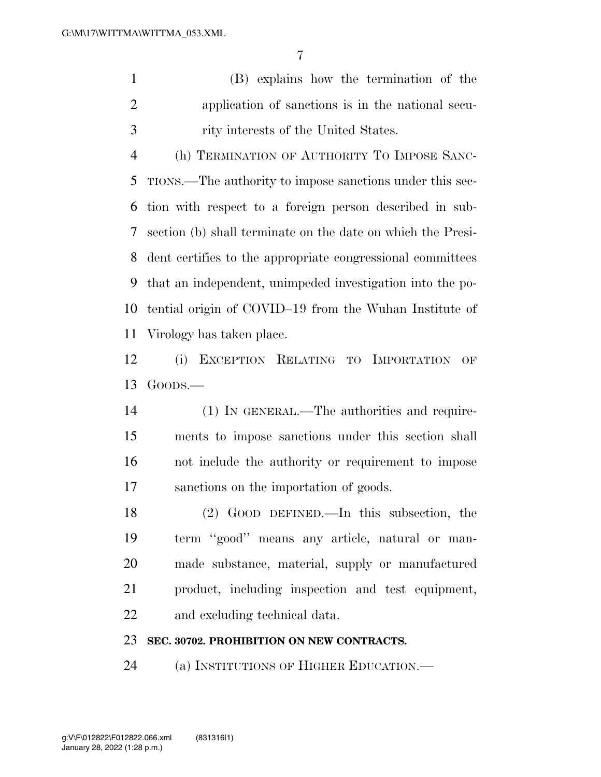(B) explains how the termination of the application of sanctions is in the national secu-rity interests of the United States.

 (h) TERMINATION OF AUTHORITY TO IMPOSE SANC- TIONS.—The authority to impose sanctions under this sec- tion with respect to a foreign person described in sub- section (b) shall terminate on the date on which the Presi- dent certifies to the appropriate congressional committees that an independent, unimpeded investigation into the po- tential origin of COVID–19 from the Wuhan Institute of Virology has taken place.

 (i) EXCEPTION RELATING TO IMPORTATION OF GOODS.—

 (1) IN GENERAL.—The authorities and require- ments to impose sanctions under this section shall not include the authority or requirement to impose sanctions on the importation of goods.

 (2) GOOD DEFINED.—In this subsection, the term ''good'' means any article, natural or man- made substance, material, supply or manufactured product, including inspection and test equipment, and excluding technical data.

## **SEC. 30702. PROHIBITION ON NEW CONTRACTS.**

(a) INSTITUTIONS OF HIGHER EDUCATION.—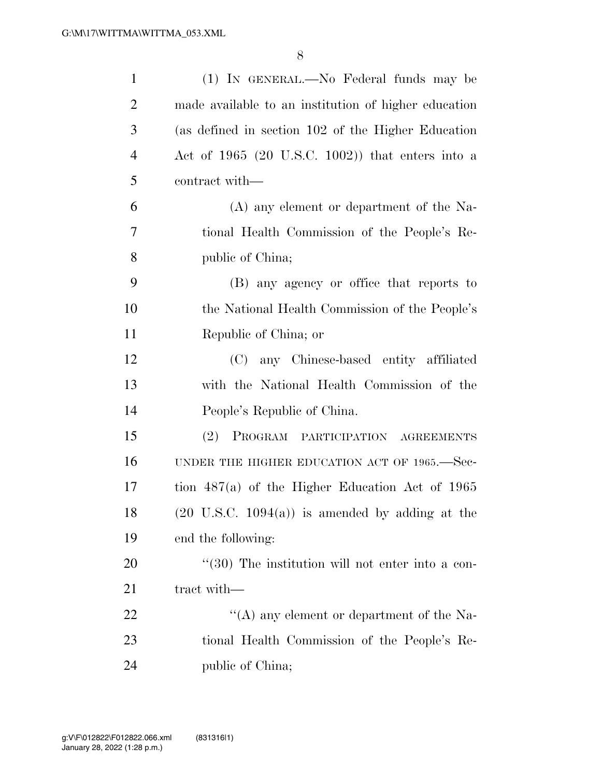| $\mathbf{1}$   | (1) IN GENERAL.—No Federal funds may be                    |
|----------------|------------------------------------------------------------|
| $\overline{2}$ | made available to an institution of higher education       |
| 3              | (as defined in section 102 of the Higher Education         |
| $\overline{4}$ | Act of 1965 (20 U.S.C. 1002)) that enters into a           |
| 5              | contract with—                                             |
| 6              | (A) any element or department of the Na-                   |
| 7              | tional Health Commission of the People's Re-               |
| 8              | public of China;                                           |
| 9              | (B) any agency or office that reports to                   |
| 10             | the National Health Commission of the People's             |
| 11             | Republic of China; or                                      |
| 12             | (C) any Chinese-based entity affiliated                    |
| 13             | with the National Health Commission of the                 |
| 14             | People's Republic of China.                                |
| 15             | (2)<br>PROGRAM PARTICIPATION AGREEMENTS                    |
| 16             | UNDER THE HIGHER EDUCATION ACT OF 1965.—Sec-               |
| 17             | tion $487(a)$ of the Higher Education Act of 1965          |
| 18             | $(20 \text{ U.S.C. } 1094(a))$ is amended by adding at the |
| 19             | end the following:                                         |
| 20             | $(30)$ The institution will not enter into a con-          |
| 21             | tract with—                                                |
| 22             | "(A) any element or department of the Na-                  |
| 23             | tional Health Commission of the People's Re-               |
| 24             | public of China;                                           |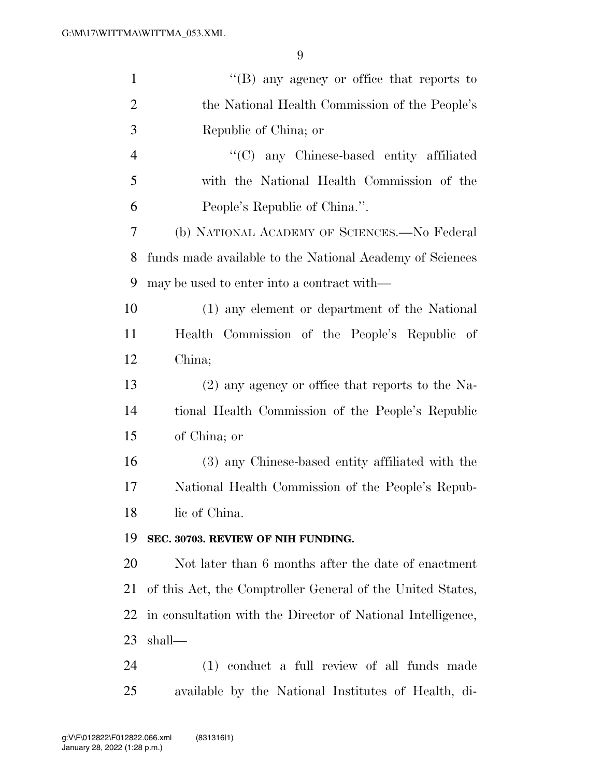| $\mathbf{1}$   | $\lq\lq (B)$ any agency or office that reports to           |
|----------------|-------------------------------------------------------------|
| $\overline{2}$ | the National Health Commission of the People's              |
| 3              | Republic of China; or                                       |
| $\overline{4}$ | "(C) any Chinese-based entity affiliated                    |
| 5              | with the National Health Commission of the                  |
| 6              | People's Republic of China.".                               |
| 7              | (b) NATIONAL ACADEMY OF SCIENCES.—No Federal                |
| 8              | funds made available to the National Academy of Sciences    |
| 9              | may be used to enter into a contract with—                  |
| 10             | (1) any element or department of the National               |
| 11             | Health Commission of the People's Republic of               |
| 12             | China;                                                      |
| 13             | (2) any agency or office that reports to the Na-            |
| 14             | tional Health Commission of the People's Republic           |
| 15             | of China; or                                                |
| 16             | (3) any Chinese-based entity affiliated with the            |
| 17             | National Health Commission of the People's Repub-           |
| 18             | lic of China.                                               |
| 19             | SEC. 30703. REVIEW OF NIH FUNDING.                          |
| 20             | Not later than 6 months after the date of enactment         |
| 21             | of this Act, the Comptroller General of the United States,  |
| 22             | in consultation with the Director of National Intelligence, |
| 23             | shall-                                                      |
| 24             | (1) conduct a full review of all funds made                 |
| 25             | available by the National Institutes of Health, di-         |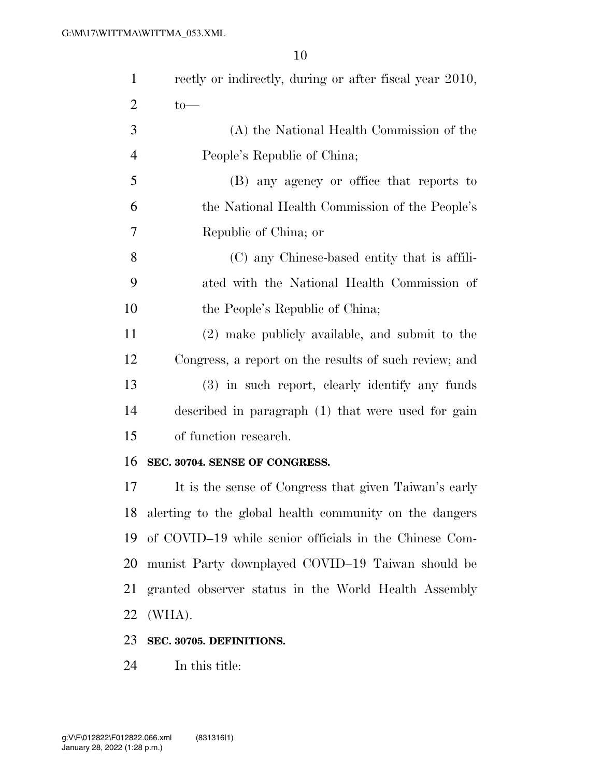| $\mathbf{1}$   | rectly or indirectly, during or after fiscal year 2010, |
|----------------|---------------------------------------------------------|
| $\overline{2}$ | $to-$                                                   |
| 3              | (A) the National Health Commission of the               |
| $\overline{4}$ | People's Republic of China;                             |
| 5              | (B) any agency or office that reports to                |
| 6              | the National Health Commission of the People's          |
| 7              | Republic of China; or                                   |
| 8              | (C) any Chinese-based entity that is affili-            |
| 9              | ated with the National Health Commission of             |
| 10             | the People's Republic of China;                         |
| 11             | (2) make publicly available, and submit to the          |
| 12             | Congress, a report on the results of such review; and   |
| 13             | (3) in such report, clearly identify any funds          |
| 14             | described in paragraph (1) that were used for gain      |
| 15             | of function research.                                   |
| 16             | SEC. 30704. SENSE OF CONGRESS.                          |
| 17             | It is the sense of Congress that given Taiwan's early   |
| 18             | alerting to the global health community on the dangers  |
| 19             | of COVID-19 while senior officials in the Chinese Com-  |
| 20             | munist Party downplayed COVID-19 Taiwan should be       |
| 21             | granted observer status in the World Health Assembly    |
| 22             | (WHA).                                                  |
| 23             | SEC. 30705. DEFINITIONS.                                |
| 24             | In this title:                                          |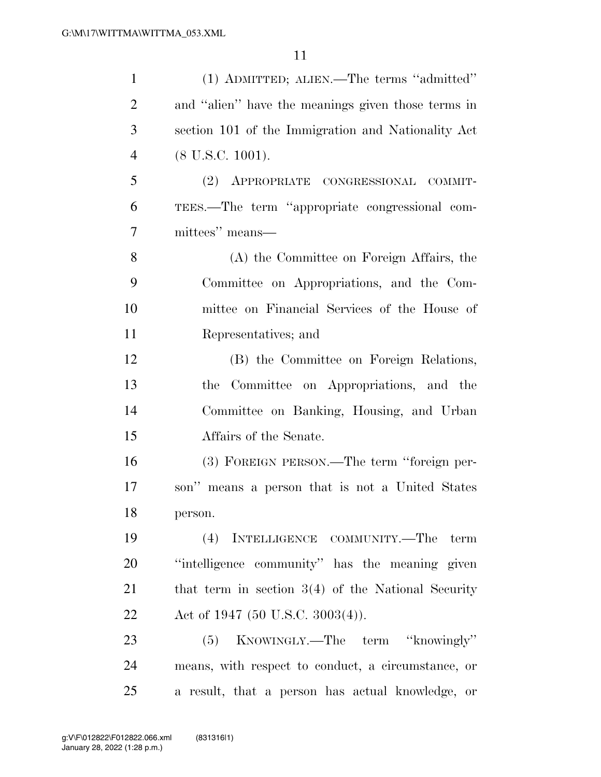| $\mathbf{1}$   | (1) ADMITTED; ALIEN.—The terms "admitted"            |
|----------------|------------------------------------------------------|
| $\overline{2}$ | and "alien" have the meanings given those terms in   |
| 3              | section 101 of the Immigration and Nationality Act   |
| $\overline{4}$ | $(8$ U.S.C. 1001).                                   |
| 5              | (2) APPROPRIATE CONGRESSIONAL COMMIT-                |
| 6              | TEES.—The term "appropriate congressional com-       |
| $\overline{7}$ | mittees" means—                                      |
| 8              | (A) the Committee on Foreign Affairs, the            |
| 9              | Committee on Appropriations, and the Com-            |
| 10             | mittee on Financial Services of the House of         |
| 11             | Representatives; and                                 |
| 12             | (B) the Committee on Foreign Relations,              |
| 13             | the Committee on Appropriations, and the             |
| 14             | Committee on Banking, Housing, and Urban             |
| 15             | Affairs of the Senate.                               |
| 16             | (3) FOREIGN PERSON.—The term "foreign per-           |
| 17             | son" means a person that is not a United States      |
| 18             | person.                                              |
| 19             | (4) INTELLIGENCE COMMUNITY.—The term                 |
| 20             | "intelligence community" has the meaning given       |
| 21             | that term in section $3(4)$ of the National Security |
| 22             | Act of 1947 (50 U.S.C. 3003(4)).                     |
| 23             | KNOWINGLY.—The term "knowingly"<br>(5)               |
| 24             | means, with respect to conduct, a circumstance, or   |
| 25             | a result, that a person has actual knowledge, or     |